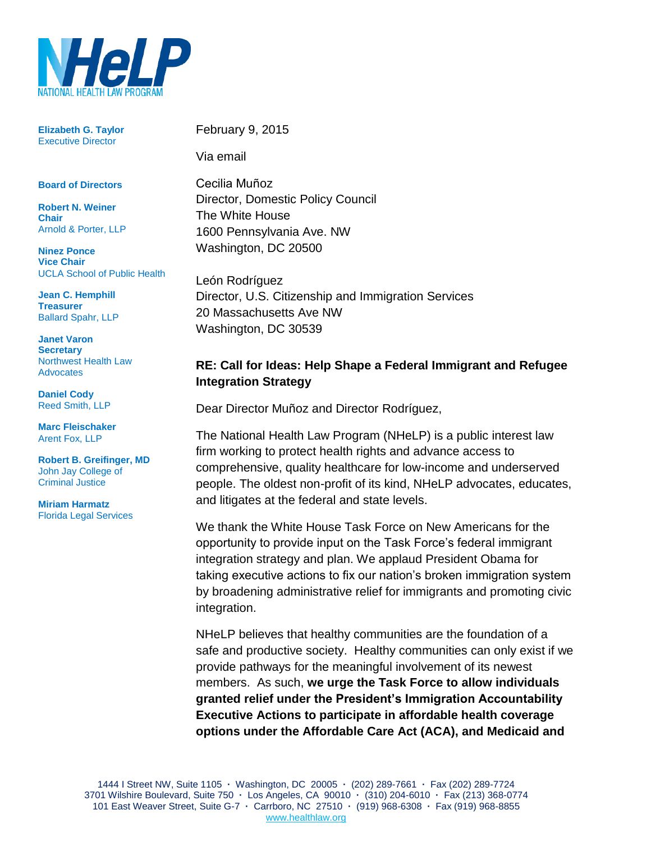

**Elizabeth G. Taylor** Executive Director

## **Board of Directors**

**Robert N. Weiner Chair** Arnold & Porter, LLP

**Ninez Ponce Vice Chair** UCLA School of Public Health

**Jean C. Hemphill Treasurer** Ballard Spahr, LLP

**Janet Varon Secretary** Northwest Health Law Advocates

**Daniel Cody** Reed Smith, LLP

**Marc Fleischaker** Arent Fox, LLP

**Robert B. Greifinger, MD** John Jay College of Criminal Justice

**Miriam Harmatz** Florida Legal Services February 9, 2015

Via email

Cecilia Mun͂oz Director, Domestic Policy Council The White House 1600 Pennsylvania Ave. NW Washington, DC 20500

León Rodríguez Director, U.S. Citizenship and Immigration Services 20 Massachusetts Ave NW Washington, DC 30539

## **RE: Call for Ideas: Help Shape a Federal Immigrant and Refugee Integration Strategy**

Dear Director Muñoz and Director Rodríguez,

The National Health Law Program (NHeLP) is a public interest law firm working to protect health rights and advance access to comprehensive, quality healthcare for low-income and underserved people. The oldest non-profit of its kind, NHeLP advocates, educates, and litigates at the federal and state levels.

We thank the White House Task Force on New Americans for the opportunity to provide input on the Task Force's federal immigrant integration strategy and plan. We applaud President Obama for taking executive actions to fix our nation's broken immigration system by broadening administrative relief for immigrants and promoting civic integration.

NHeLP believes that healthy communities are the foundation of a safe and productive society. Healthy communities can only exist if we provide pathways for the meaningful involvement of its newest members. As such, **we urge the Task Force to allow individuals granted relief under the President's Immigration Accountability Executive Actions to participate in affordable health coverage options under the Affordable Care Act (ACA), and Medicaid and**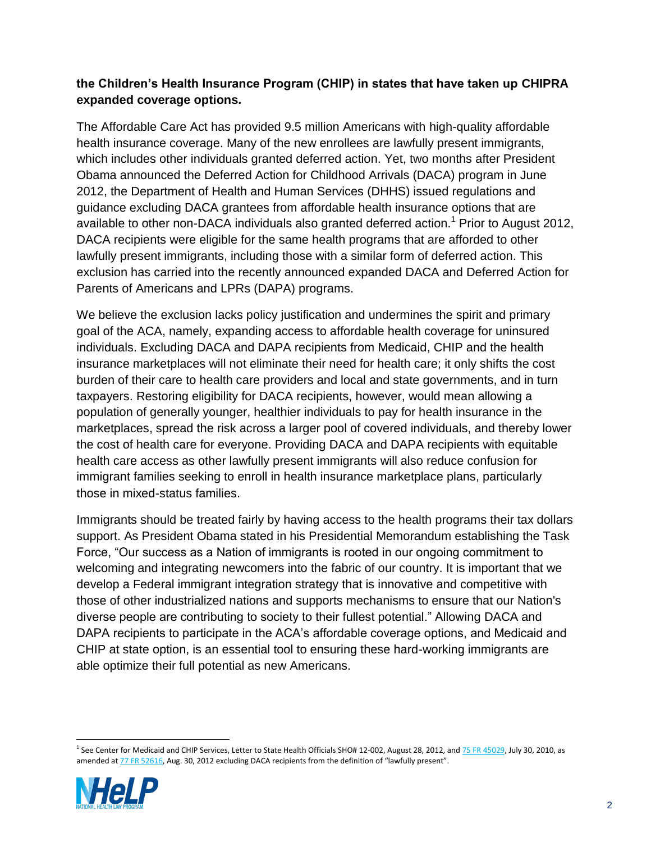## **the Children's Health Insurance Program (CHIP) in states that have taken up CHIPRA expanded coverage options.**

The Affordable Care Act has provided 9.5 million Americans with high-quality affordable health insurance coverage. Many of the new enrollees are lawfully present immigrants, which includes other individuals granted deferred action. Yet, two months after President Obama announced the Deferred Action for Childhood Arrivals (DACA) program in June 2012, the Department of Health and Human Services (DHHS) issued regulations and guidance excluding DACA grantees from affordable health insurance options that are available to other non-DACA individuals also granted deferred action.<sup>1</sup> Prior to August 2012, DACA recipients were eligible for the same health programs that are afforded to other lawfully present immigrants, including those with a similar form of deferred action. This exclusion has carried into the recently announced expanded DACA and Deferred Action for Parents of Americans and LPRs (DAPA) programs.

We believe the exclusion lacks policy justification and undermines the spirit and primary goal of the ACA, namely, expanding access to affordable health coverage for uninsured individuals. Excluding DACA and DAPA recipients from Medicaid, CHIP and the health insurance marketplaces will not eliminate their need for health care; it only shifts the cost burden of their care to health care providers and local and state governments, and in turn taxpayers. Restoring eligibility for DACA recipients, however, would mean allowing a population of generally younger, healthier individuals to pay for health insurance in the marketplaces, spread the risk across a larger pool of covered individuals, and thereby lower the cost of health care for everyone. Providing DACA and DAPA recipients with equitable health care access as other lawfully present immigrants will also reduce confusion for immigrant families seeking to enroll in health insurance marketplace plans, particularly those in mixed-status families.

Immigrants should be treated fairly by having access to the health programs their tax dollars support. As President Obama stated in his Presidential Memorandum establishing the Task Force, "Our success as a Nation of immigrants is rooted in our ongoing commitment to welcoming and integrating newcomers into the fabric of our country. It is important that we develop a Federal immigrant integration strategy that is innovative and competitive with those of other industrialized nations and supports mechanisms to ensure that our Nation's diverse people are contributing to society to their fullest potential." Allowing DACA and DAPA recipients to participate in the ACA's affordable coverage options, and Medicaid and CHIP at state option, is an essential tool to ensuring these hard-working immigrants are able optimize their full potential as new Americans.

 <sup>1</sup> See Center for Medicaid and CHIP Services, Letter to State Health Officials SHO# 12-002, August 28, 2012, an[d 75 FR 45029,](http://frwebgate.access.gpo.gov/cgi-bin/getpage.cgi?dbname=2010_register&position=all&page=45029) July 30, 2010, as amended at [77 FR 52616,](http://frwebgate.access.gpo.gov/cgi-bin/getpage.cgi?dbname=2012_register&position=all&page=52616) Aug. 30, 2012 excluding DACA recipients from the definition of "lawfully present".